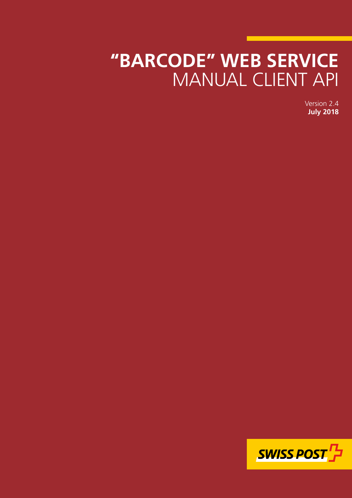# **"BARCODE" WEB SERVICE** MANUAL CLIENT API

Version 2.4 **July 2018**

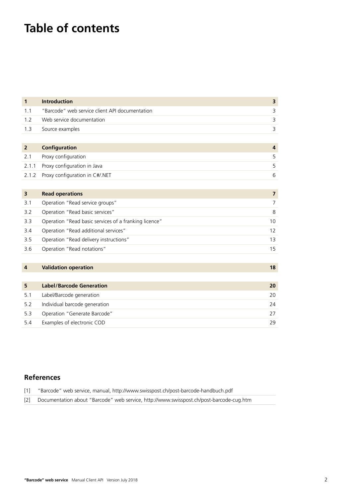# **Table of contents**

| $\mathbf{1}$   | <b>Introduction</b>                                   | 3              |
|----------------|-------------------------------------------------------|----------------|
| 1.1            | "Barcode" web service client API documentation        | 3              |
| 1.2            | Web service documentation                             | $\overline{3}$ |
| 1.3            | Source examples                                       | 3              |
|                |                                                       |                |
| $\overline{2}$ | <b>Configuration</b>                                  | $\overline{4}$ |
| 2.1            | Proxy configuration                                   | 5              |
| 2.1.1          | Proxy configuration in Java                           | 5              |
| 2.1.2          | Proxy configuration in C#/.NET                        | 6              |
|                |                                                       |                |
| 3              | <b>Read operations</b>                                | $\overline{7}$ |
| 3.1            | Operation "Read service groups"                       | $\overline{7}$ |
| 3.2            | Operation "Read basic services"                       | $\,8\,$        |
| 3.3            | Operation "Read basic services of a franking licence" | 10             |
| 3.4            | Operation "Read additional services"                  | 12             |
| 3.5            | Operation "Read delivery instructions"                | 13             |
| 3.6            | Operation "Read notations"                            | 15             |
|                |                                                       |                |
| 4              | <b>Validation operation</b>                           | 18             |
|                |                                                       |                |
| 5              | <b>Label/Barcode Generation</b>                       | 20             |
| 5.1            | Label/Barcode generation                              | 20             |
| 5.2            | Individual barcode generation                         | 24             |
| 5.3            | Operation "Generate Barcode"                          | 27             |

### **References**

| [1] | "Barcode" web service, manual, http://www.swisspost.ch/post-barcode-handbuch.pdf            |
|-----|---------------------------------------------------------------------------------------------|
|     | [2] Documentation about "Barcode" web service, http://www.swisspost.ch/post-barcode-cug.htm |

5.4 [Examples of electronic COD](#page-28-0) 29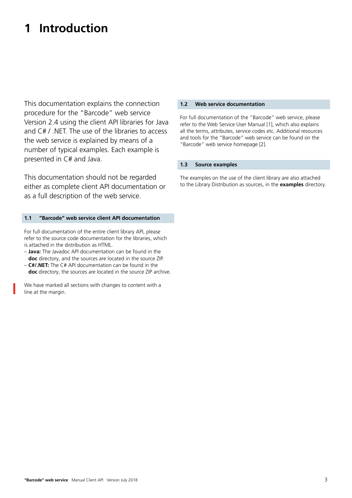# <span id="page-2-0"></span>**1 Introduction**

This documentation explains the connection procedure for the "Barcode" web service Version 2.4 using the client API libraries for Java and C# / .NET. The use of the libraries to access the web service is explained by means of a number of typical examples. Each example is presented in C# and Java.

This documentation should not be regarded either as complete client API documentation or as a full description of the web service.

### **1.1 "Barcode" web service client API documentation**

For full documentation of the entire client library API, please refer to the source code documentation for the libraries, which is attached in the distribution as HTML.

- **Java:** The Javadoc API documentation can be found in the **doc** directory, and the sources are located in the source ZIP.
- **C#/.NET:** The C# API documentation can be found in the **doc** directory, the sources are located in the source ZIP archive.

We have marked all sections with changes to content with a line at the margin.

### **1.2 Web service documentation**

For full documentation of the "Barcode" web service, please refer to the Web Service User Manual [1], which also explains all the terms, attributes, service codes etc. Additional resources and tools for the "Barcode" web service can be found on the "Barcode" web service homepage [2].

### **1.3 Source examples**

The examples on the use of the client library are also attached to the Library Distribution as sources, in the **examples** directory.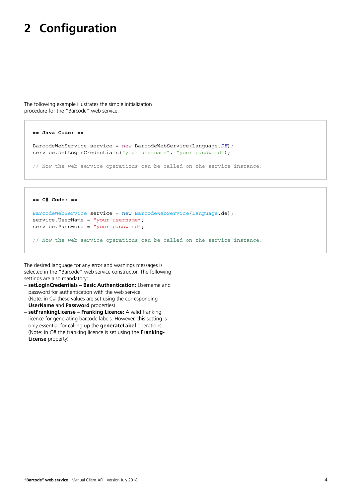# <span id="page-3-0"></span>**2 Configuration**

The following example illustrates the simple initialization procedure for the "Barcode" web service.

```
== Java Code: ==
BarcodeWebService service = new BarcodeWebService(Language.DE);
service.setLoginCredentials("your username", "your password");
// Now the web service operations can be called on the service instance.
```

```
== C# Code: ==
BarcodeWebService service = new BarcodeWebService(Language.de);
service.UserName = "your username";
service.Password = "your password";
// Now the web service operations can be called on the service instance.
```
The desired language for any error and warnings messages is selected in the "Barcode" web service constructor. The following settings are also mandatory:

- **setLoginCredentials Basic Authentication:** Username and password for authentication with the web service (Note: in C# these values are set using the corresponding **UserName** and **Password** properties)
- **setFrankingLicense Franking Licence:** A valid franking licence for generating barcode labels. However, this setting is only essential for calling up the **generateLabel** operations (Note: in C# the franking licence is set using the **Franking-License** property)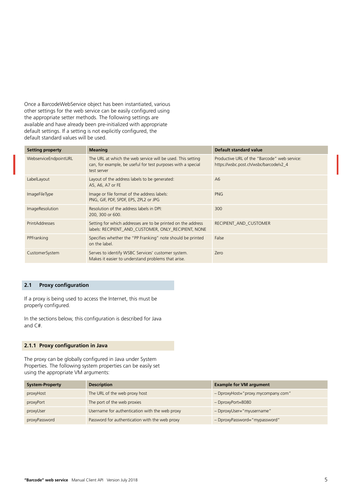<span id="page-4-0"></span>Once a BarcodeWebService object has been instantiated, various other settings for the web service can be easily configured using the appropriate setter methods. The following settings are available and have already been pre-initialized with appropriate default settings. If a setting is not explicitly configured, the default standard values will be used.

| <b>Setting property</b> | <b>Meaning</b>                                                                                                                             | Default standard value                                                                 |
|-------------------------|--------------------------------------------------------------------------------------------------------------------------------------------|----------------------------------------------------------------------------------------|
| WebserviceEndpointURL   | The URL at which the web service will be used. This setting<br>can, for example, be useful for test purposes with a special<br>test server | Productive URL of the "Barcode" web service:<br>https://wsbc.post.ch/wsbc/barcode/v2_4 |
| LabelLayout             | Layout of the address labels to be generated:<br>A5, A6, A7 or FE                                                                          | A6                                                                                     |
| <i>ImageFileType</i>    | Image or file format of the address labels:<br>PNG, GIF, PDF, SPDF, EPS, ZPL2 or JPG                                                       | <b>PNG</b>                                                                             |
| <b>ImageResolution</b>  | Resolution of the address labels in DPI:<br>200, 300 or 600.                                                                               | 300                                                                                    |
| <b>PrintAddresses</b>   | Setting for which addresses are to be printed on the address<br>labels: RECIPIENT AND CUSTOMER, ONLY RECIPIENT, NONE                       | RECIPIENT AND CUSTOMER                                                                 |
| PPFranking              | Specifies whether the "PP Franking" note should be printed<br>on the label.                                                                | False                                                                                  |
| CustomerSystem          | Serves to identify WSBC Services' customer system.<br>Makes it easier to understand problems that arise.                                   | Zero                                                                                   |

### **2.1 Proxy configuration**

If a proxy is being used to access the Internet, this must be properly configured.

In the sections below, this configuration is described for Java and C#.

### **2.1.1 Proxy configuration in Java**

The proxy can be globally configured in Java under System Properties. The following system properties can be easily set using the appropriate VM arguments:

| <b>System-Property</b> | <b>Description</b>                             | <b>Example for VM argument</b>     |
|------------------------|------------------------------------------------|------------------------------------|
| proxyHost              | The URL of the web proxy host                  | - DproxyHost="proxy.mycompany.com" |
| proxyPort              | The port of the web proxies                    | $-Dprox$ Port=8080                 |
| proxyUser              | Username for authentication with the web proxy | - DproxyUser="myusername"          |
| proxyPassword          | Password for authentication with the web proxy | - DproxyPassword="mypassword"      |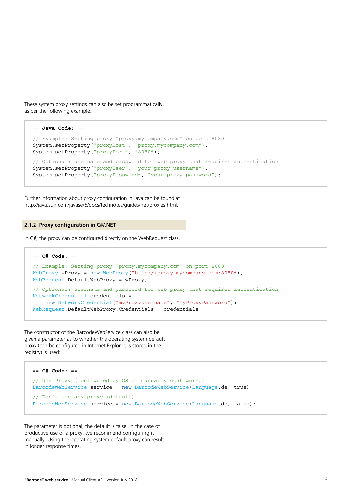<span id="page-5-0"></span>These system proxy settings can also be set programmatically, as per the following example:

```
== Java Code: ==
// Example: Setting proxy "proxy.mycompany.com" on port 8080
System.setProperty("proxyHost", "proxy.mycompany.com");
System.setProperty("proxyPort", "8080");
// Optional: username and password for web proxy that requires authentication
System.setProperty("proxyUser", "your proxy username");
System.setProperty("proxyPassword", "your proxy password");
```
Further information about proxy configuration in Java can be found at <http://java.sun.com/javase/6/docs/technotes/guides/net/proxies.html>.

#### **2.1.2 Proxy configuration in C#/.NET**

In C#, the proxy can be configured directly on the WebRequest class.

```
== C# Code: ==
// Example: Setting proxy "proxy.mycompany.com" on port 8080
WebProxy wProxy = new WebProxy("http://proxy.mycompany.com:8080");
WebRequest.DefaultWebProxy = wProxy;
// Optional: username and password for web proxy that requires authentication
NetworkCredential credentials = 
    new NetworkCredential("myProxyUsername", "myProxyPassword");
WebRequest.DefaultWebProxy.Credentials = credentials;
```
The constructor of the BarcodeWebService class can also be given a parameter as to whether the operating system default proxy (can be configured in Internet Explorer, is stored in the registry) is used:

```
== C# Code: ==
// Use Proxy (configured by OS or manually configured)
BarcodeWebService service = new BarcodeWebService(Language.de, true);
// Don't use any proxy (default)
BarcodeWebService service = new BarcodeWebService(Language.de, false);
```
The parameter is optional, the default is false. In the case of productive use of a proxy, we recommend configuring it manually. Using the operating system default proxy can result in longer response times.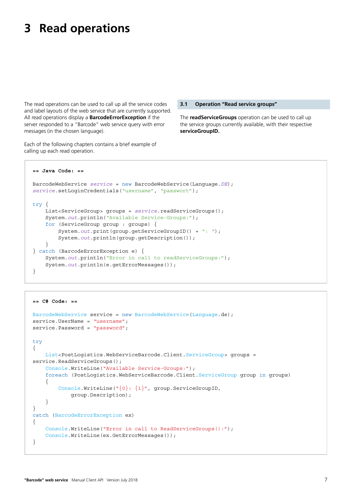# <span id="page-6-0"></span>**3 Read operations**

The read operations can be used to call up all the service codes and label layouts of the web service that are currently supported. All read operations display a **BarcodeErrorException** if the server responded to a "Barcode" web service query with error messages (in the chosen language).

Each of the following chapters contains a brief example of calling up each read operation.

#### **3.1 Operation "Read service groups"**

The **readServiceGroups** operation can be used to call up the service groups currently available, with their respective **serviceGroupID.**

```
== Java Code: ==
BarcodeWebService service = new BarcodeWebService(Language.DE); 
service.setLoginCredentials("username", "passwort");
try {
     List<ServiceGroup> groups = service.readServiceGroups();
     System.out.println("Available Service-Groups:");
     for (ServiceGroup group : groups) {
         System.out.print(group.getServiceGroupID() + ": ");
         System.out.println(group.getDescription());
     }
} catch (BarcodeErrorException e) {
    System.out.println("Error in call to readServiceGroups:");
     System.out.println(e.getErrorMessages());
}
```

```
== C# Code: ==
BarcodeWebService service = new BarcodeWebService(Language.de);
service.UserName = "username";
service.Password = "password";
try
{
     List<PostLogistics.WebServiceBarcode.Client.ServiceGroup> groups = 
service.ReadServiceGroups();
     Console.WriteLine("Available Service-Groups:");
     foreach (PostLogistics.WebServiceBarcode.Client.ServiceGroup group in groups)
     {
         Console.WriteLine("{0}: {1}", group.ServiceGroupID, 
             group.Description);
     }
}
catch (BarcodeErrorException ex)
{
     Console.WriteLine("Error in call to ReadServiceGroups():");
     Console.WriteLine(ex.GetErrorMessages());
}
```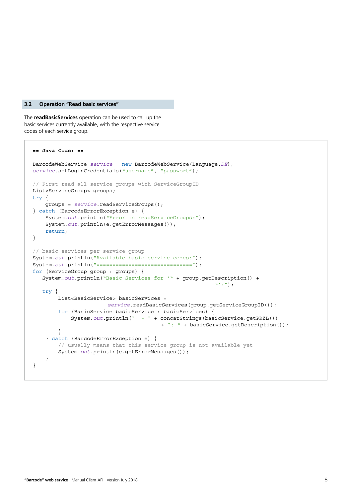#### <span id="page-7-0"></span>**3.2 Operation "Read basic services"**

The **readBasicServices** operation can be used to call up the basic services currently available, with the respective service codes of each service group.

```
== Java Code: ==
BarcodeWebService service = new BarcodeWebService(Language.DE); 
service.setLoginCredentials("username", "passwort");
// First read all service groups with ServiceGroupID
List<ServiceGroup> groups;
try {
    groups = service.readServiceGroups();
} catch (BarcodeErrorException e) {
    System.out.println("Error in readServiceGroups:");
     System.out.println(e.getErrorMessages());
     return;
}
// basic services per service group
System.out.println("Available basic service codes:");
System.out.println("==============================");
for (ServiceGroup group : groups) {
    System.out.println("Basic Services for '" + group.getDescription() + 
\mathbb{Z}^2: ");
    try {
         List<BasicService> basicServices = 
                        service.readBasicServices(group.getServiceGroupID());
         for (BasicService basicService : basicServices) {
             System.out.println(" - " + concatStrings(basicService.getPRZL()) 
                                        + ": " + basicService.getDescription());
 }
     } catch (BarcodeErrorException e) {
         // usually means that this service group is not available yet
         System.out.println(e.getErrorMessages());
     }
}
```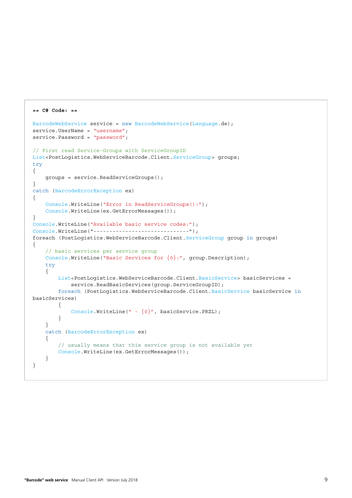```
== C# Code: ==
BarcodeWebService service = new BarcodeWebService(Language.de);
service.UserName = "username";
service.Password = "password";
// First read Service-Groups with ServiceGroupID
List<PostLogistics.WebServiceBarcode.Client.ServiceGroup> groups;
try
{
     groups = service.ReadServiceGroups();
}
catch (BarcodeErrorException ex)
{
     Console.WriteLine("Error in ReadServiceGroups():");
     Console.WriteLine(ex.GetErrorMessages());
}
Console.WriteLine("Available basic service codes:");
Console.WriteLine("------------------------------");
foreach (PostLogistics.WebServiceBarcode.Client.ServiceGroup group in groups)
{
     // basic services per service group
    Console.WriteLine("Basic Services for \{0\}:", group.Description);
     try
     {
         List<PostLogistics.WebServiceBarcode.Client.BasicService> basicServices = 
             service.ReadBasicServices(group.ServiceGroupID);
         foreach (PostLogistics.WebServiceBarcode.Client.BasicService basicService in
basicServices)
         {
            Console.WriteLine(" - {0}", basicService.PRZL);
         }
     }
     catch (BarcodeErrorException ex)
     {
         // usually means that this service group is not available yet
         Console.WriteLine(ex.GetErrorMessages());
     }
}
```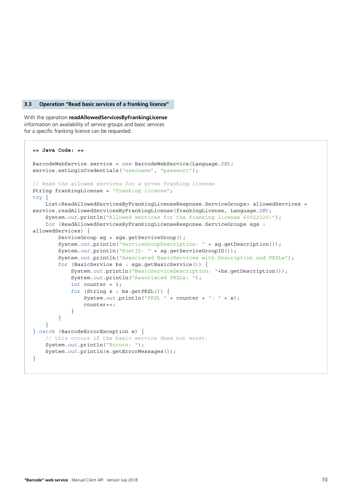#### <span id="page-9-0"></span>**3.3 Operation "Read basic services of a franking licence"**

With the operation **readAllowedServicesByFrankingLicense** information on availability of service groups and basic services for a specific franking licence can be requested.

```
== Java Code: ==
BarcodeWebService service = new BarcodeWebService(Language.DE); 
service.setLoginCredentials("username", "passwort");
// Read the allowed services for a given franking license
String frankingLicense = "franking license";
try {
    List<ReadAllowedServicesByFrankingLicenseResponse.ServiceGroups> allowedServices =
service.readAllowedServicesByFrankingLicense(frankingLicense, Language.DE);
     System.out.println("Allowed services for the franking license 60022220:");
     for (ReadAllowedServicesByFrankingLicenseResponse.ServiceGroups sgs : 
allowedServices) {
        ServiceGroup sq = sqs.qetServiceGroup();
         System.out.println("ServiceGroupDescription: " + sg.getDescription());
        System.out.println("PostID: " + sg.getServiceGroupID());
         System.out.println("Associated BasicServices with Description and PRZLs");
         for (BasicService bs : sgs.getBasicService()) {
             System.out.println("BasicServiceDescription: "+bs.getDescription());
             System.out.println("Associated PRZLs: ");
            int counter = 1;
             for (String s : bs.getPRZL()) {
                 System.out.println("PRZL " + counter + ": " + s);
                 counter++;
 }
         }
     }
} catch (BarcodeErrorException e) {
     // this occurs if the basic service does not exist.
     System.out.println("Errors: ");
     System.out.println(e.getErrorMessages());
}
```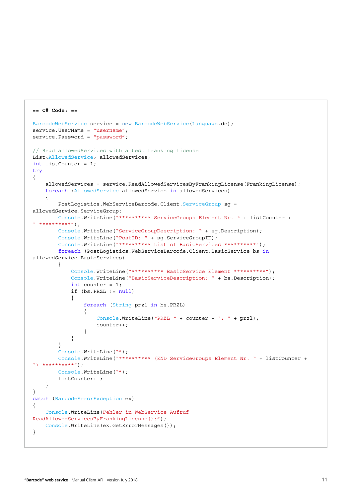```
== C# Code: ==
BarcodeWebService service = new BarcodeWebService(Language.de);
service.UserName = "username";
service.Password = "password";
// Read allowedServices with a test franking license
List<AllowedService> allowedServices;
int listCounter = 1;
try
{
    allowedServices = service.ReadAllowedServicesByFrankingLicense(FrankingLicense);
     foreach (AllowedService allowedService in allowedServices)
\{ PostLogistics.WebServiceBarcode.Client.ServiceGroup sg = 
allowedService.ServiceGroup;
        Console.WriteLine("********** ServiceGroups Element Nr. " + listCounter + 
" * * * * * * * * * * * " );
         Console.WriteLine("ServiceGroupDescription: " + sg.Description);
         Console.WriteLine("PostID: " + sg.ServiceGroupID);
        Console.WriteLine("*********** List of BasicServices **********");
         foreach (PostLogistics.WebServiceBarcode.Client.BasicService bs in
allowedService.BasicServices)
         {
             Console.WriteLine("********** BasicService Element **********");
             Console.WriteLine("BasicServiceDescription: " + bs.Description);
            int counter = 1;
             if (bs.PRZL != null)
\{ foreach (String przl in bs.PRZL)
{
                     Console.WriteLine("PRZL " + counter + ": " + przl);
                     counter++;
 }
 }
 }
        Console.WriteLine("");
         Console.WriteLine("********** (END ServiceGroups Element Nr. " + listCounter + 
"\, ***********");
        Console.WriteLine("");
         listCounter++;
     }
}
catch (BarcodeErrorException ex)
{
     Console.WriteLine(Fehler in WebService Aufruf 
ReadAllowedServicesByFrankingLicense():");
    Console.WriteLine(ex.GetErrorMessages());
}
```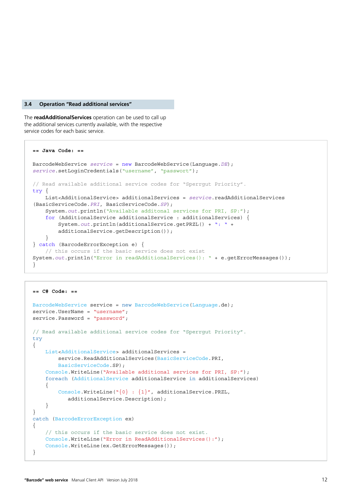#### <span id="page-11-0"></span>**3.4 Operation "Read additional services"**

The **readAdditionalServices** operation can be used to call up the additional services currently available, with the respective service codes for each basic service.

```
== Java Code: ==
BarcodeWebService service = new BarcodeWebService(Language.DE); 
service.setLoginCredentials("username", "passwort");
// Read available additional service codes for "Sperrgut Priority".
try {
    List<AdditionalService> additionalServices = service.readAdditionalServices
(BasicServiceCode.PRI, BasicServiceCode.SP);
     System.out.println("Available additonal services for PRI, SP:");
     for (AdditionalService additionalService : additionalServices) {
         System.out.println(additionalService.getPRZL() + ": " + 
         additionalService.getDescription());
     }
} catch (BarcodeErrorException e) {
     // this occurs if the basic service does not exist
System.out.println("Error in readAdditionalServices(): " + e.qetErrorMessaqes());
}
```

```
== C# Code: ==
BarcodeWebService service = new BarcodeWebService(Language.de);
service.UserName = "username";
service.Password = "password";
// Read available additional service codes for "Sperrgut Priority".
try
{
     List<AdditionalService> additionalServices = 
         service.ReadAdditionalServices(BasicServiceCode.PRI,
         BasicServiceCode.SP);
     Console.WriteLine("Available additional services for PRI, SP:");
     foreach (AdditionalService additionalService in additionalServices)
     {
         Console.WriteLine("{0} : {1}", additionalService.PRZL, 
            additionalService.Description);
     }
}
catch (BarcodeErrorException ex)
{
     // this occurs if the basic service does not exist.
     Console.WriteLine("Error in ReadAdditionalServices():");
    Console.WriteLine(ex.GetErrorMessages());
}
```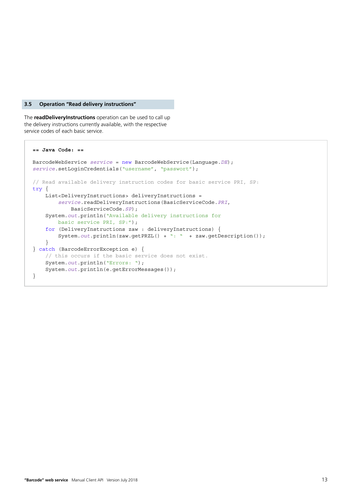#### <span id="page-12-0"></span>**3.5 Operation "Read delivery instructions"**

The **readDeliveryInstructions** operation can be used to call up the delivery instructions currently available, with the respective service codes of each basic service.

```
== Java Code: ==
BarcodeWebService service = new BarcodeWebService(Language.DE); 
service.setLoginCredentials("username", "passwort");
// Read available delivery instruction codes for basic service PRI, SP:
try {
     List<DeliveryInstructions> deliveryInstructions = 
         service.readDeliveryInstructions(BasicServiceCode.PRI,
             BasicServiceCode.SP);
     System.out.println("Available delivery instructions for 
         basic service PRI, SP:");
     for (DeliveryInstructions zaw : deliveryInstructions) {
         System.out.println(zaw.getPRZL() + ": " + zaw.getDescription());
     }
} catch (BarcodeErrorException e) {
     // this occurs if the basic service does not exist.
     System.out.println("Errors: ");
     System.out.println(e.getErrorMessages());
}
```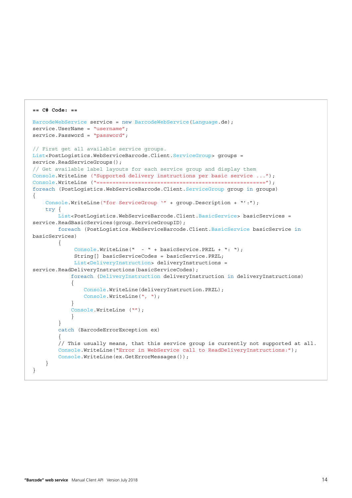```
== C# Code: ==
BarcodeWebService service = new BarcodeWebService(Language.de);
service.UserName = "username";
service.Password = "password";
// First get all available service groups.
List<PostLogistics.WebServiceBarcode.Client.ServiceGroup> groups = 
service.ReadServiceGroups();
// Get available label layouts for each service group and display them
Console.WriteLine ("Supported delivery instructions per basic service ...");
Console.WriteLine ("=====================================================");
foreach (PostLogistics.WebServiceBarcode.Client.ServiceGroup group in groups) 
{
    Console.WriteLine("for ServiceGroup '" + qroup.Description + "':");
    try {
         List<PostLogistics.WebServiceBarcode.Client.BasicService> basicServices = 
service.ReadBasicServices(group.ServiceGroupID);
         foreach (PostLogistics.WebServiceBarcode.Client.BasicService basicService in
basicServices)
        {
              Console.WriteLine(" - " + basicService.PRZL + ": ");
              String[] basicServiceCodes = basicService.PRZL;
              List<DeliveryInstruction> deliveryInstructions = 
service.ReadDeliveryInstructions(basicServiceCodes);
            foreach (DeliveryInstruction deliveryInstruction in deliveryInstructions)
\{ Console.WriteLine(deliveryInstruction.PRZL);
               Console.WriteLine(", ");
 }
            Console.WriteLine ("");
 }
         }
         catch (BarcodeErrorException ex)
\{ // This usually means, that this service group is currently not supported at all.
        Console.WriteLine("Error in WebService call to ReadDeliveryInstructions:");
         Console.WriteLine(ex.GetErrorMessages());
    }
}
```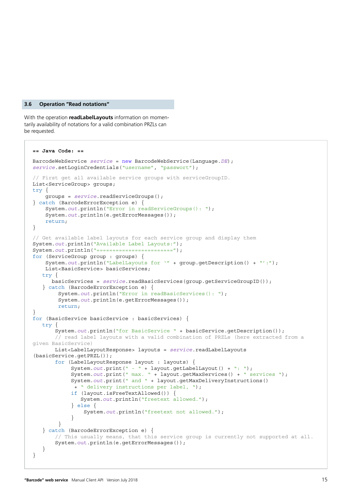#### <span id="page-14-0"></span>**3.6 Operation "Read notations"**

With the operation **readLabelLayouts** information on momentarily availability of notations for a valid combination PRZLs can be requested.

```
== Java Code: ==
BarcodeWebService service = new BarcodeWebService(Language.DE);
service.setLoginCredentials("username", "passwort");
// First get all available service groups with serviceGroupID.
List<ServiceGroup> groups;
try {
     groups = service.readServiceGroups();
} catch (BarcodeErrorException e) {
     System.out.println("Error in readServiceGroups(): ");
     System.out.println(e.getErrorMessages());
     return;
}
// Get available label layouts for each service group and display them
System.out.println("Available Label Layouts:");
System.out.println("========================");
for (ServiceGroup group : groups) {
     System.out.println("LabelLayouts for '" + group.getDescription() + "':");
     List<BasicService> basicServices;
    try {
       basicServices = service.readBasicServices(group.getServiceGroupID());
    } catch (BarcodeErrorException e) {
        System.out.println("Error in readBasicServices(): ");
         System.out.println(e.getErrorMessages());
         return;
}
for (BasicService basicService : basicServices) {
    try {
       System.out.println("for BasicService " + basicService.getDescription());
        // read label layouts with a valid combination of PRZLs (here extracted from a 
given BasicService)
        List<LabelLayoutResponse> layouts = service.readLabelLayouts
(basicService.getPRZL());
        for (LabelLayoutResponse layout : layouts) {
             System.out.print(" - " + layout.getLabelLayout() + ": ");
             System.out.print(" max. " + layout.getMaxServices() + " services ");
             System.out.print(" and " + layout.getMaxDeliveryInstructions()
              + " delivery instructions per label, ");
             if (layout.isFreeTextAllowed()) {
                System.out.println("freetext allowed.");
             } else {
                 System.out.println("freetext not allowed.");
 }
         }
    } catch (BarcodeErrorException e) {
        // This usually means, that this service group is currently not supported at all.
        System.out.println(e.getErrorMessages());
    }
}
```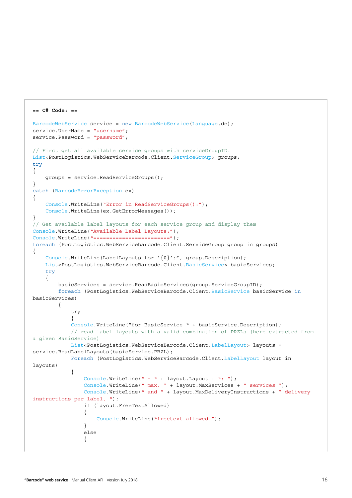```
== C# Code: ==
BarcodeWebService service = new BarcodeWebService(Language.de);
service.UserName = "username";
service.Password = "password";
// First get all available service groups with serviceGroupID.
List<PostLogistics.WebServicebarcode.Client.ServiceGroup> groups;
try
{
     groups = service.ReadServiceGroups();
}
catch (BarcodeErrorException ex)
{
     Console.WriteLine("Error in ReadServiceGroups():");
     Console.WriteLine(ex.GetErrorMessages());
}
// Get available label layouts for each service group and display them
Console.WriteLine("Available Label Layouts:");
Console.WriteLine("========================");
foreach (PostLogistics.WebServicebarcode.Client.ServiceGroup group in groups)
{
    Console.WriteLine(LabelLayouts for '{0}':", group.Description);
    List<PostLogistics.WebServiceBarcode.Client.BasicService> basicServices;
     try
\{ basicServices = service.ReadBasicServices(group.ServiceGroupID);
        foreach (PostLogistics.WebServiceBarcode.Client.BasicService basicService in
basicServices)
         {
             try
\{Console.WriteLine("for BasicService " + basicService.Description);
             // read label layouts with a valid combination of PRZLs (here extracted from 
a given BasicService)
           List<PostLogistics.WebServiceBarcode.Client.LabelLayout> layouts =
service.ReadLabelLayouts(basicService.PRZL);
            Foreach (PostLogistics.WebServiceBarcode.Client.LabelLayout layout in 
layouts)
\{ Console.WriteLine(" - " + layout.Layout + ": ");
                 Console.WriteLine(" max. " + layout.MaxServices + " services ");
                 Console.WriteLine(" and " + layout.MaxDeliveryInstructions + " delivery 
instructions per label, ");
                if (layout.FreeTextAllowed)
{
                    Console.WriteLine("freetext allowed.");
 }
                 else
{
```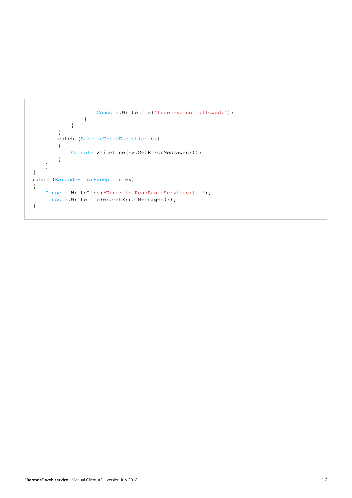```
 Console.WriteLine("freetext not allowed.");
 }
             }
         }
         catch (BarcodeErrorException ex)
         {
             Console.WriteLine(ex.GetErrorMessages());
         }
     }
}
catch (BarcodeErrorException ex)
{
     Console.WriteLine("Error in ReadBasicServices(): ");
     Console.WriteLine(ex.GetErrorMessages());
}
```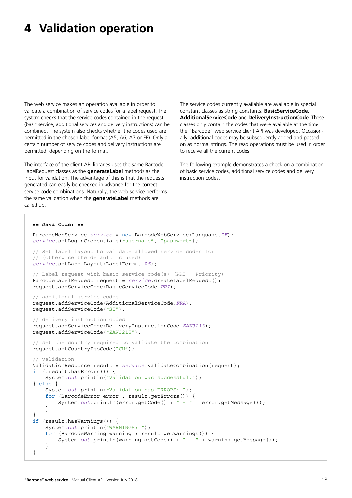## <span id="page-17-0"></span>**4 Validation operation**

The web service makes an operation available in order to validate a combination of service codes for a label request. The system checks that the service codes contained in the request (basic service, additional services and delivery instructions) can be combined. The system also checks whether the codes used are permitted in the chosen label format (A5, A6, A7 or FE). Only a certain number of service codes and delivery instructions are permitted, depending on the format.

The interface of the client API libraries uses the same Barcode-LabelRequest classes as the **generateLabel** methods as the input for validation. The advantage of this is that the requests generated can easily be checked in advance for the correct service code combinations. Naturally, the web service performs the same validation when the **generateLabel** methods are called up.

The service codes currently available are available in special constant classes as string constants: **BasicServiceCode, AdditionalServiceCode** and **DeliveryInstructionCode**. These classes only contain the codes that were available at the time the "Barcode" web service client API was developed. Occasionally, additional codes may be subsequently added and passed on as normal strings. The read operations must be used in order to receive all the current codes.

The following example demonstrates a check on a combination of basic service codes, additional service codes and delivery instruction codes.

```
== Java Code: ==
BarcodeWebService service = new BarcodeWebService(Language.DE);
service.setLoginCredentials("username", "passwort");
// Set label layout to validate allowed service codes for 
// (otherwise the default is used)
service.setLabelLayout(LabelFormat.A5);
// Label request with basic service code(s) (PRI = Priority)
BarcodeLabelRequest request = service.createLabelRequest();
request.addServiceCode(BasicServiceCode.PRI);
// additional service codes
request.addServiceCode(AdditionalServiceCode.FRA);
request.addServiceCode("SI");
// delivery instruction codes
request.addServiceCode(DeliveryInstructionCode.ZAW3213);
request.addServiceCode("ZAW3215");
// set the country required to validate the combination
request.setCountryIsoCode("CH");
// validation
ValidationResponse result = service.validateCombination(request);
if (!result.hasErrors()) {
    System.out.println("Validation was successful.");
} else {
     System.out.println("Validation has ERRORS: ");
     for (BarcodeError error : result.getErrors()) {
        System.out.println(error.getCode() + " - " + error.getMessage());
 }
}
if (result.hasWarnings()) {
     System.out.println("WARNINGS: ");
     for (BarcodeWarning warning : result.getWarnings()) {
        System.out.println(warning.getCode() + " - " + warning.getMessage());
     }
}
```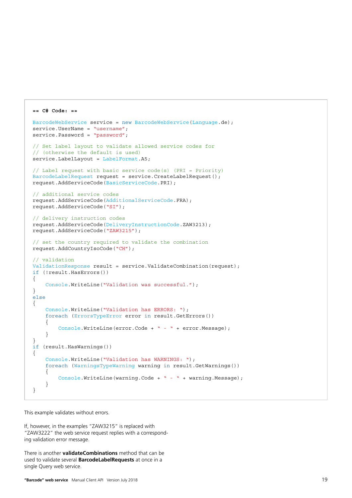```
== C# Code: ==
BarcodeWebService service = new BarcodeWebService(Language.de);
service.UserName = "username";
service.Password = "password";
// Set label layout to validate allowed service codes for 
// (otherwise the default is used)
service.LabelLayout = LabelFormat.A5;
// Label request with basic service code(s) (PRI = Priority)
BarcodeLabelRequest request = service.CreateLabelRequest();
request.AddServiceCode(BasicServiceCode.PRI);
// additional service codes
request.AddServiceCode(AdditionalServiceCode.FRA);
request.AddServiceCode("SI");
// delivery instruction codes
request.AddServiceCode(DeliveryInstructionCode.ZAW3213);
request.AddServiceCode("ZAW3215");
// set the country required to validate the combination
request.AddCountryIsoCode("CH");
// validation
ValidationResponse result = service.ValidateCombination(request);
if (!result.HasErrors())
{
     Console.WriteLine("Validation was successful.");
}
else
{
     Console.WriteLine("Validation has ERRORS: ");
     foreach (ErrorsTypeError error in result.GetErrors())
     {
         Console.WriteLine(error.Code + " - " + error.Message);
     }
}
if (result.HasWarnings())
{
     Console.WriteLine("Validation has WARNINGS: ");
     foreach (WarningsTypeWarning warning in result.GetWarnings())
     {
         Console.WriteLine(warning.Code + " - " + warning.Message);
     }
}
```
This example validates without errors.

```
If, however, in the examples "ZAW3215" is replaced with 
"ZAW3222" the web service request replies with a correspond-
ing validation error message.
```
There is another **validateCombinations** method that can be used to validate several **BarcodeLabelRequests** at once in a single Query web service.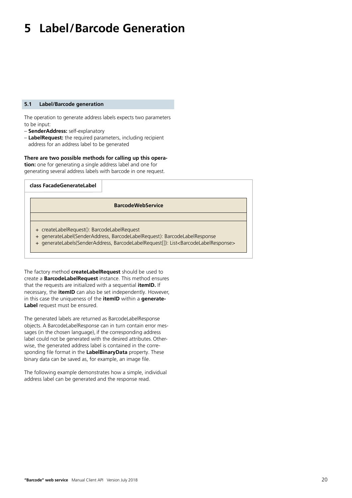# <span id="page-19-0"></span>**5 Label/Barcode Generation**

#### **5.1 Label/Barcode generation**

The operation to generate address labels expects two parameters to be input:

- **SenderAddress:** self-explanatory
- **LabelRequest:** the required parameters, including recipient address for an address label to be generated

#### **There are two possible methods for calling up this opera-**

**tion:** one for generating a single address label and one for generating several address labels with barcode in one request.

| class FacadeGenerateLabel                                                                                                                                                                                                              |
|----------------------------------------------------------------------------------------------------------------------------------------------------------------------------------------------------------------------------------------|
| <b>BarcodeWebService</b>                                                                                                                                                                                                               |
|                                                                                                                                                                                                                                        |
| + createLabelRequest(): BarcodeLabelRequest<br>+ generateLabel(SenderAddress, BarcodeLabelRequest): BarcodeLabelResponse<br>+ generateLabels(SenderAddress, BarcodeLabelRequest[]): List <barcodelabelresponse></barcodelabelresponse> |

The factory method **createLabelRequest** should be used to create a **BarcodeLabelRequest** instance. This method ensures that the requests are initialized with a sequential **itemID.** If necessary, the **itemID** can also be set independently. However, in this case the uniqueness of the **itemID** within a **generate-Label** request must be ensured.

The generated labels are returned as BarcodeLabelResponse objects. A BarcodeLabelResponse can in turn contain error messages (in the chosen language), if the corresponding address label could not be generated with the desired attributes. Otherwise, the generated address label is contained in the corresponding file format in the **LabelBinaryData** property. These binary data can be saved as, for example, an image file.

The following example demonstrates how a simple, individual address label can be generated and the response read.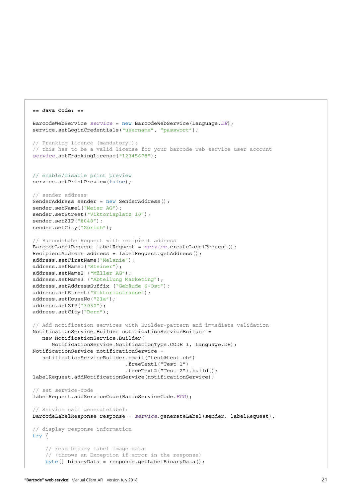```
BarcodeWebService service = new BarcodeWebService(Language.DE); 
service.setLoginCredentials("username", "passwort");
// Franking licence (mandatory!):
// this has to be a valid license for your barcode web service user account
service.setFrankingLicense("12345678");
// enable/disable print preview
service.setPrintPreview(false);
// sender address
SenderAddress sender = new SenderAddress();
sender.setName1("Meier AG");
sender.setStreet("Viktoriaplatz 10");
sender.setZIP("8048");
sender.setCity("Zürich");
// BarcodeLabelRequest with recipient address
BarcodeLabelRequest labelRequest = service.createLabelRequest();
RecipientAddress address = labelRequest.getAddress();
address.setFirstName("Melanie");
address.setName1("Steiner");
address.setName2 ("Müller AG");
address.setName3 ("Abteilung Marketing");
address.setAddressSuffix ("Gebäude 6-Ost");
address.setStreet("Viktoriastrasse");
address.setHouseNo("21a");
address.setZIP("3030");
address.setCity("Bern");
// Add notification services with Builder-pattern and immediate validation
NotificationService.Builder notificationServiceBuilder = 
    new NotificationService.Builder(
       NotificationService.NotificationType.CODE_1, Language.DE); 
NotificationService notificationService = 
    notificationServiceBuilder.email("test@test.ch")
                              .freeText1("Test 1")
                              .freeText2("Test 2").build();
labelRequest.addNotificationService(notificationService);
// set service-code
labelRequest.addServiceCode(BasicServiceCode.ECO);
// Service call generateLabel:
BarcodeLabelResponse response = service.generateLabel(sender, labelRequest);
// display response information
try {
     // read binary label image data
     // (throws an Exception if error in the response)
     byte[] binaryData = response.getLabelBinaryData();
```
**== Java Code: ==**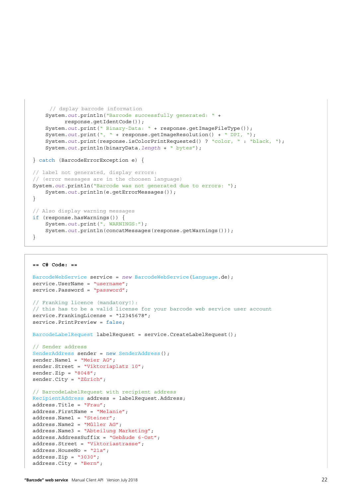```
 // dsplay barcode information
     System.out.println("Barcode successfully generated: " + 
           response.getIdentCode());
    System.out.print(" Binary-Data: " + response.getImageFileType());
    System.out.print(", " + response.getImageResolution() + " DPI, ");
     System.out.print(response.isColorPrintRequested() ? "color, " : "black, ");
     System.out.println(binaryData.length + " bytes");
} catch (BarcodeErrorException e) {
// label not generated, display errors:
// (error messages are in the choosen language)
System.out.println("Barcode was not generated due to errors: ");
   System.out.println(e.getErrorMessages());
}
// Also display warning messages
if (response.hasWarnings()) {
    System.out.print(", WARNINGS:");
    System.out.println(concatMessages(response.getWarnings()));
}
```

```
== C# Code: ==
```

```
BarcodeWebService service = new BarcodeWebService(Language.de);
service.UserName = "username";
service.Password = "password";
// Franking licence (mandatory!):
// this has to be a valid license for your barcode web service user account
service.FrankingLicense = "12345678";
service.PrintPreview = false;
BarcodeLabelRequest labelRequest = service.CreateLabelRequest();
// Sender address
SenderAddress sender = new SenderAddress();
sender.Name1 = "Meier AG";
sender.Street = "Viktoriaplatz 10";
sender.Zip = "8048";sender.City = "Zürich";
// BarcodeLabelRequest with recipient address
RecipientAddress address = labelRequest.Address;
address.Title = "Frau";
address.FirstName = "Melanie";
address.Name1 = "Steiner";
address.Name2 = "Müller AG";
address.Name3 = "Abteilung Marketing";
address.AddressSuffix = "Gebäude 6-Ost";
address.Street = "Viktoriastrasse";
address.HouseNo = "21a";
```
address.Zip =  $"3030"$ ; address.City = "Bern";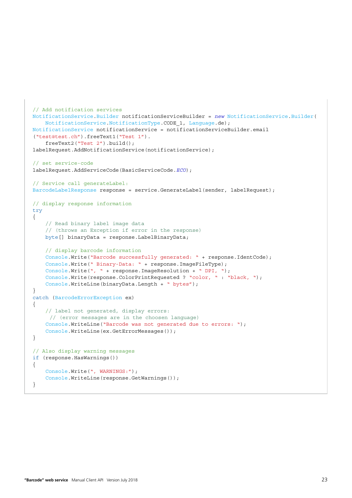```
// Add notification services
NotificationService.Builder notificationServiceBuilder = new NotificationService.Builder(
    NotificationService.NotificationType.CODE_1, Language.de);
NotificationService notificationService = notificationServiceBuilder.email
("test@test.ch").freeText1("Test 1").
     freeText2("Test 2").build();
labelRequest.AddNotificationService(notificationService);
// set service-code
labelRequest.AddServiceCode(BasicServiceCode.ECO);
// Service call generateLabel:
BarcodeLabelResponse response = service.GenerateLabel(sender, labelRequest);
// display response information
try
{
     // Read binary label image data
     // (throws an Exception if error in the response)
    byte[] binaryData = response.LabelBinaryData;
     // display barcode information
     Console.Write("Barcode successfully generated: " + response.IdentCode);
     Console.Write(" Binary-Data: " + response.ImageFileType);
     Console.Write(", " + response.ImageResolution + " DPI, ");
     Console.Write(response.ColorPrintRequested ? "color, " : "black, ");
     Console.WriteLine(binaryData.Length + " bytes");
}
catch (BarcodeErrorException ex)
{
     // label not generated, display errors:
      // (error messages are in the choosen language)
     Console.WriteLine("Barcode was not generated due to errors: ");
   Console.WriteLine(ex.GetErrorMessages());
}
// Also display warning messages
if (response.HasWarnings())
{
     Console.Write(", WARNINGS:");
    Console.WriteLine(response.GetWarnings());
}
```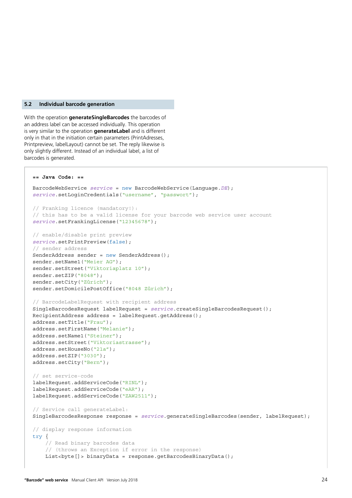#### <span id="page-23-0"></span>**5.2 Individual barcode generation**

With the operation **generateSingleBarcodes** the barcodes of an address label can be accessed individually. This operation is very similar to the operation **generateLabel** and is different only in that in the initiation certain parameters (PrintAdresses, Printpreview, labelLayout) cannot be set. The reply likewise is only slightly different. Instead of an individual label, a list of barcodes is generated.

```
== Java Code: ==
BarcodeWebService service = new BarcodeWebService(Language.DE); 
service.setLoginCredentials("username", "passwort");
// Franking licence (mandatory!):
// this has to be a valid license for your barcode web service user account
service.setFrankingLicense("12345678");
// enable/disable print preview
service.setPrintPreview(false);
// sender address
SenderAddress sender = new SenderAddress();
sender.setName1("Meier AG");
sender.setStreet("Viktoriaplatz 10");
sender.setZIP("8048");
sender.setCity("Zürich");
sender.setDomicilePostOffice("8048 Zürich");
// BarcodeLabelRequest with recipient address
SingleBarcodesRequest labelRequest = service.createSingleBarcodesRequest();
RecipientAddress address = labelRequest.getAddress();
address.setTitle("Frau");
address.setFirstName("Melanie");
address.setName1("Steiner");
address.setStreet("Viktoriastrasse");
address.setHouseNo("21a");
address.setZIP("3030");
address.setCity("Bern");
// set service-code
labelRequest.addServiceCode("RINL");
labelRequest.addServiceCode("eAR");
labelRequest.addServiceCode("ZAW2511");
// Service call generateLabel:
SingleBarcodesResponse response = service.generatesingleBarcodes(sender, labelRequest);// display response information
try {
     // Read binary barcodes data
     // (throws an Exception if error in the response)
    List<br/>byte[]> binaryData = response.getBarcodesBinaryData();
```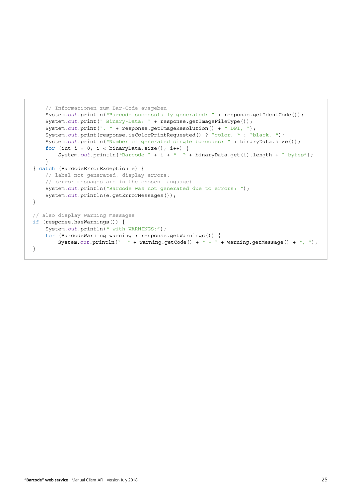```
 // Informationen zum Bar-Code ausgeben
   System.out.println("Barcode successfully generated: " + response.getIdentCode());
   System.out.print(" Binary-Data: " + response.getImageFileType());
   System.out.print(", " + response.getImageResolution() + " DPI, ");
   System.out.print(response.isColorPrintRequested() ? "color, " : "black, ");
    System.out.println("Number of generated single barcodes: " + binaryData.size());
   for (int i = 0; i < binaryData.size(); i++) {
        System.out.println("Barcode " + i + " " + binaryData.get(i).length + " bytes");
     }
} catch (BarcodeErrorException e) {
    // label not generated, display errors:
     // (error messages are in the chosen language)
    System.out.println("Barcode was not generated due to errors: ");
    System.out.println(e.getErrorMessages());
}
// also display warning messages
if (response.hasWarnings()) {
    System.out.println(" with WARNINGS:");
     for (BarcodeWarning warning : response.getWarnings()) {
        System.out.println(" " + warning.getCode() + " - " + warning.getMessage() + ", ");
}
```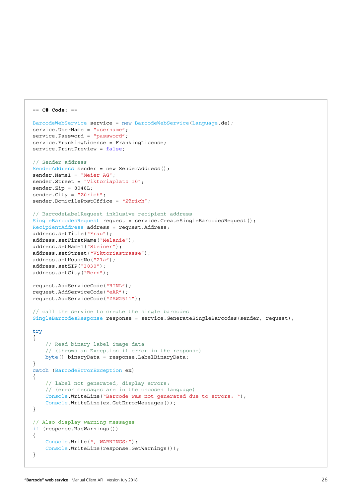```
BarcodeWebService service = new BarcodeWebService(Language.de);
service.UserName = "username";
service.Password = "password";
service.FrankingLicense = FrankingLicense;
service.PrintPreview = false;
// Sender address
SenderAddress sender = new SenderAddress();
sender.Name1 = "Meier AG";
sender.Street = "Viktoriaplatz 10";
sender.Zip = 8048L;
sender.City = "Zürich";
sender.DomicilePostOffice = "Zürich";
// BarcodeLabelRequest inklusive recipient address
SingleBarcodesRequest request = service.CreateSingleBarcodesRequest();
RecipientAddress address = request.Address;
address.setTitle("Frau");
address.setFirstName("Melanie");
address.setName1("Steiner");
address.setStreet("Viktoriastrasse");
address.setHouseNo("21a");
address.setZIP("3030");
address.setCity("Bern");
request.AddServiceCode("RINL");
request.AddServiceCode("eAR");
request.AddServiceCode("ZAW2511");
// call the service to create the single barcodes
SingleBarcodesResponse response = service.GenerateSingleBarcodes(sender, request);
try
{
     // Read binary label image data
     // (throws an Exception if error in the response)
     byte[] binaryData = response.LabelBinaryData;
}
catch (BarcodeErrorException ex)
{
     // label not generated, display errors:
     // (error messages are in the choosen language)
     Console.WriteLine("Barcode was not generated due to errors: ");
    Console.WriteLine(ex.GetErrorMessages());
}
// Also display warning messages
if (response.HasWarnings())
{
     Console.Write(", WARNINGS:");
     Console.WriteLine(response.GetWarnings());
}
```
**== C# Code: ==**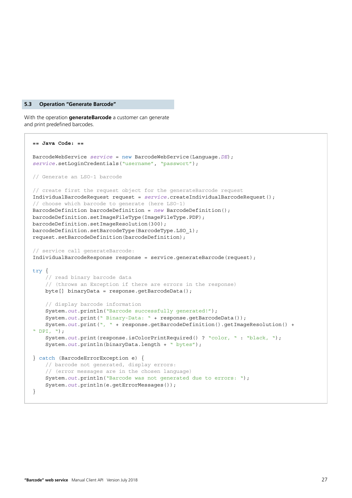#### <span id="page-26-0"></span>**5.3 Operation "Generate Barcode"**

With the operation **generateBarcode** a customer can generate and print predefined barcodes.

```
== Java Code: ==
BarcodeWebService service = new BarcodeWebService(Language.DE); 
service.setLoginCredentials("username", "passwort");
// Generate an LSO-1 barcode
// create first the request object for the generateBarcode request
IndividualBarcodeRequest request = service.createIndividualBarcodeRequest();
// choose which barcode to generate (here LSO-1)
BarcodeDefinition barcodeDefinition = new BarcodeDefinition();
barcodeDefinition.setImageFileType(ImageFileType.PDF);
barcodeDefinition.setImageResolution(300);
barcodeDefinition.setBarcodeType(BarcodeType.LSO_1);
request.setBarcodeDefinition(barcodeDefinition);
// service call generateBarcode:
IndividualBarcodeResponse response = service.generateBarcode(request);
try {
     // read binary barcode data
     // (throws an Exception if there are errors in the response)
    byte[] binaryData = response.getBarcodeData();
     // display barcode information
     System.out.println("Barcode successfully generated!");
     System.out.print(" Binary-Data: " + response.getBarcodeData());
    System.out.print(", " + response.getBarcodeDefinition().getImageResolution() +
" DPI, " ;
     System.out.print(response.isColorPrintRequired() ? "color, " : "black, ");
     System.out.println(binaryData.length + " bytes");
} catch (BarcodeErrorException e) {
     // barcode not generated, display errors:
     // (error messages are in the chosen language)
     System.out.println("Barcode was not generated due to errors: ");
     System.out.println(e.getErrorMessages());
}
```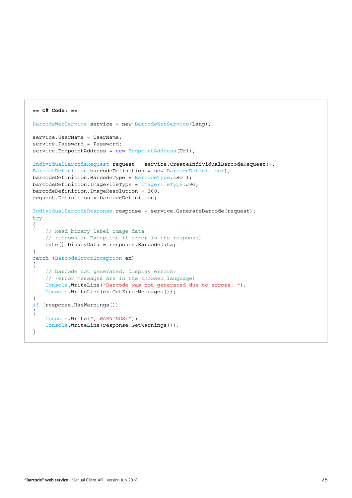```
== C# Code: ==
BarcodeWebService service = new BarcodeWebService(Lang);
service. UserName = UserName;
service.Password = Password;
service.EndpointAddress = new EndpointAddress(Url);
IndividualBarcodeRequest request = service.CreateIndividualBarcodeRequest();
BarcodeDefinition barcodeDefinition = new BarcodeDefinition();
barcodeDefinition.BarcodeType = BarcodeType.BSO_1;barcodeDefinition.ImageFileType = ImageFileType.JPG;
barcodeDefinition.ImageResolution = 300;
request.Definition = barcodeDefinition;
IndividualBarcodeResponse response = service.GenerateBarcode(request);
try
{
     // Read binary label image data
     // (throws an Exception if error in the response)
     byte[] binaryData = response.BarcodeData;
}
catch (BarcodeErrorException ex)
{
     // barcode not generated, display errors:
     // (error messages are in the choosen language)
     Console.WriteLine("Barcode was not generated due to errors: ");
     Console.WriteLine(ex.GetErrorMessages());
}
if (response.HasWarnings())
{
     Console.Write(", WARNINGS:");
     Console.WriteLine(response.GetWarnings());
}
```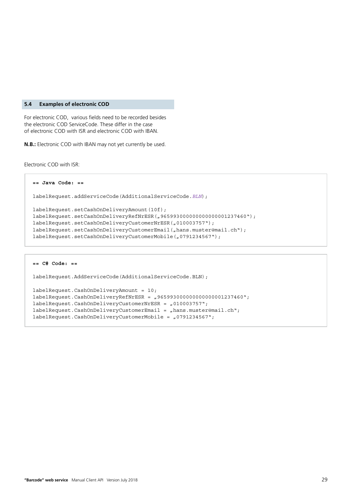#### <span id="page-28-0"></span>**5.4 Examples of electronic COD**

For electronic COD, various fields need to be recorded besides the electronic COD ServiceCode. These differ in the case of electronic COD with ISR and electronic COD with IBAN.

**N.B.:** Electronic COD with IBAN may not yet currently be used.

Electronic COD with ISR:

```
== Java Code: ==
labelRequest.addServiceCode(AdditionalServiceCode.BLN);
labelRequest.setCashOnDeliveryAmount(10f);
labelRequest.setCashOnDeliveryRefNrESR("965993000000000000001237460");
labelRequest.setCashOnDeliveryCustomerNrESR("010003757");
labelRequest.setCashOnDeliveryCustomerEmail("hans.muster@mail.ch");
labelRequest.setCashOnDeliveryCustomerMobile("0791234567");
```

```
== C# Code: ==
labelRequest.AddServiceCode(AdditionalServiceCode.BLN);
labelRequest.CashOnDeliverpAmount = 10;labelRequest.CashOnDeliverXRESR = ,965993000000000000001237460";
labelRequest.CashOnDeliveryCustomerNrESR = "010003757";
hans.muster@mail.ch";
labelRequest.CashOnDeliveryCustomerMobile = "0791234567";
```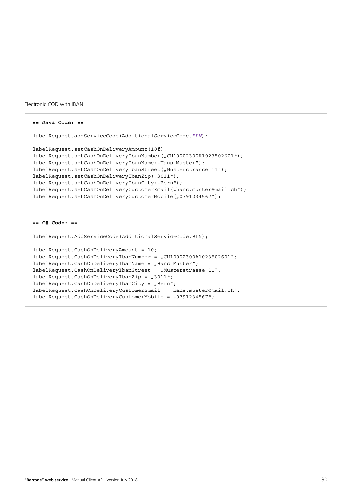```
Electronic COD with IBAN:
```

```
== Java Code: ==
labelRequest.addServiceCode(AdditionalServiceCode.BLN);
labelRequest.setCashOnDeliveryAmount(10f);
labelRequest.setCashOnDeliveryIbanNumber("CH10002300A1023502601");
labelRequest.setCashOnDeliveryIbanName("Hans Muster");
labelRequest.setCashOnDeliveryIbanStreet("Musterstrasse 11");
labelRequest.setCashOnDeliveryIbanZip("3011");
labelRequest.setCashOnDeliveryIbanCity("Bern");
labelRequest.setCashOnDeliveryCustomerEmail("hans.muster@mail.ch");
labelRequest.setCashOnDeliveryCustomerMobile("0791234567");
```

```
== C# Code: ==
```
labelRequest.AddServiceCode(AdditionalServiceCode.BLN);

```
labelRequest.CashOnDeliveryAmount = 10;
labelRequest.CashOnDeliveryIbankumber = 'CHI0002300A1023502601";
labelRequest.CashOnDeliveryIbanName = "Hans Muster";
labelRequest.CashOnDeliveryIbanStreet = "Musterstrasse 11";
labelRequest.CashOnDeliveryIbanZip = "3011";labelRequest.CashOnDeliveryIbanCity = %Bern";
hans.muster@mail.ch";
labelRequest.CashOnDeliverCustomernobile = 0.0791234567";
```